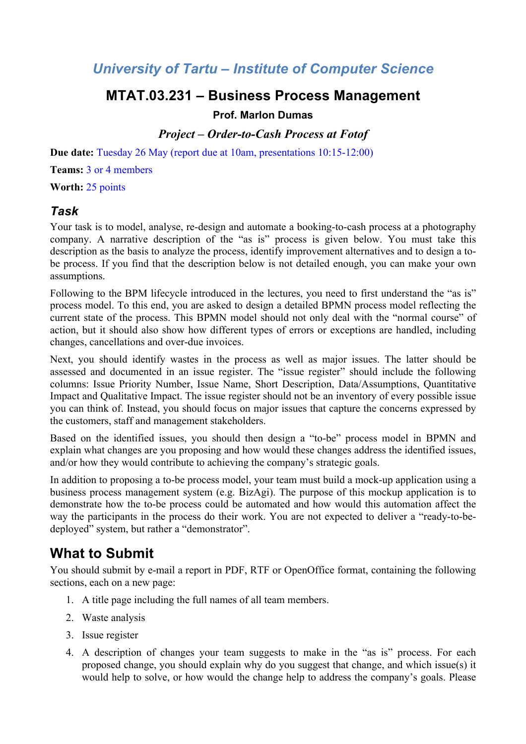## *University of Tartu – Institute of Computer Science*

## **MTAT.03.231 – Business Process Management**

### **Prof. Marlon Dumas**

### *Project – Order-to-Cash Process at Fotof*

**Due date:** Tuesday 26 May (report due at 10am, presentations 10:15-12:00)

**Teams:** 3 or 4 members

**Worth:** 25 points

### *Task*

Your task is to model, analyse, re-design and automate a booking-to-cash process at a photography company. A narrative description of the "as is" process is given below. You must take this description as the basis to analyze the process, identify improvement alternatives and to design a tobe process. If you find that the description below is not detailed enough, you can make your own assumptions.

Following to the BPM lifecycle introduced in the lectures, you need to first understand the "as is" process model. To this end, you are asked to design a detailed BPMN process model reflecting the current state of the process. This BPMN model should not only deal with the "normal course" of action, but it should also show how different types of errors or exceptions are handled, including changes, cancellations and over-due invoices.

Next, you should identify wastes in the process as well as major issues. The latter should be assessed and documented in an issue register. The "issue register" should include the following columns: Issue Priority Number, Issue Name, Short Description, Data/Assumptions, Quantitative Impact and Qualitative Impact. The issue register should not be an inventory of every possible issue you can think of. Instead, you should focus on major issues that capture the concerns expressed by the customers, staff and management stakeholders.

Based on the identified issues, you should then design a "to-be" process model in BPMN and explain what changes are you proposing and how would these changes address the identified issues, and/or how they would contribute to achieving the company's strategic goals.

In addition to proposing a to-be process model, your team must build a mock-up application using a business process management system (e.g. BizAgi). The purpose of this mockup application is to demonstrate how the to-be process could be automated and how would this automation affect the way the participants in the process do their work. You are not expected to deliver a "ready-to-bedeployed" system, but rather a "demonstrator".

# **What to Submit**

You should submit by e-mail a report in PDF, RTF or OpenOffice format, containing the following sections, each on a new page:

- 1. A title page including the full names of all team members.
- 2. Waste analysis
- 3. Issue register
- 4. A description of changes your team suggests to make in the "as is" process. For each proposed change, you should explain why do you suggest that change, and which issue(s) it would help to solve, or how would the change help to address the company's goals. Please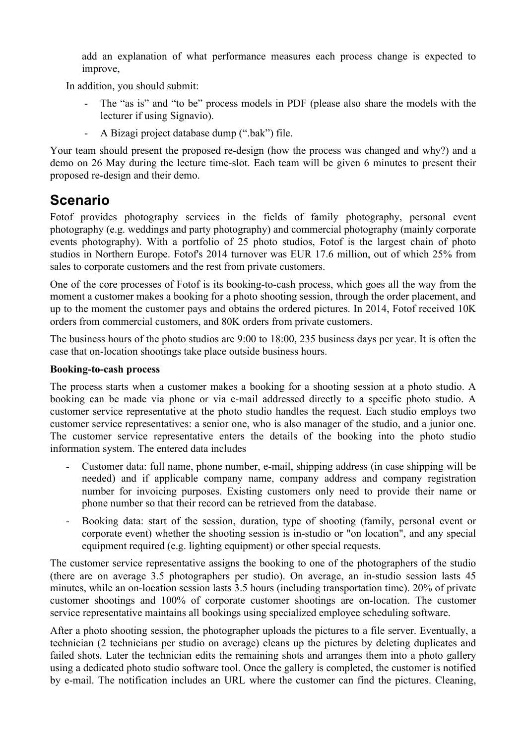add an explanation of what performance measures each process change is expected to improve,

In addition, you should submit:

- The "as is" and "to be" process models in PDF (please also share the models with the lecturer if using Signavio).
- A Bizagi project database dump (".bak") file.

Your team should present the proposed re-design (how the process was changed and why?) and a demo on 26 May during the lecture time-slot. Each team will be given 6 minutes to present their proposed re-design and their demo.

## **Scenario**

Fotof provides photography services in the fields of family photography, personal event photography (e.g. weddings and party photography) and commercial photography (mainly corporate events photography). With a portfolio of 25 photo studios, Fotof is the largest chain of photo studios in Northern Europe. Fotof's 2014 turnover was EUR 17.6 million, out of which 25% from sales to corporate customers and the rest from private customers.

One of the core processes of Fotof is its booking-to-cash process, which goes all the way from the moment a customer makes a booking for a photo shooting session, through the order placement, and up to the moment the customer pays and obtains the ordered pictures. In 2014, Fotof received 10K orders from commercial customers, and 80K orders from private customers.

The business hours of the photo studios are 9:00 to 18:00, 235 business days per year. It is often the case that on-location shootings take place outside business hours.

#### **Booking-to-cash process**

The process starts when a customer makes a booking for a shooting session at a photo studio. A booking can be made via phone or via e-mail addressed directly to a specific photo studio. A customer service representative at the photo studio handles the request. Each studio employs two customer service representatives: a senior one, who is also manager of the studio, and a junior one. The customer service representative enters the details of the booking into the photo studio information system. The entered data includes

- Customer data: full name, phone number, e-mail, shipping address (in case shipping will be needed) and if applicable company name, company address and company registration number for invoicing purposes. Existing customers only need to provide their name or phone number so that their record can be retrieved from the database.
- Booking data: start of the session, duration, type of shooting (family, personal event or corporate event) whether the shooting session is in-studio or "on location", and any special equipment required (e.g. lighting equipment) or other special requests.

The customer service representative assigns the booking to one of the photographers of the studio (there are on average 3.5 photographers per studio). On average, an in-studio session lasts 45 minutes, while an on-location session lasts 3.5 hours (including transportation time). 20% of private customer shootings and 100% of corporate customer shootings are on-location. The customer service representative maintains all bookings using specialized employee scheduling software.

After a photo shooting session, the photographer uploads the pictures to a file server. Eventually, a technician (2 technicians per studio on average) cleans up the pictures by deleting duplicates and failed shots. Later the technician edits the remaining shots and arranges them into a photo gallery using a dedicated photo studio software tool. Once the gallery is completed, the customer is notified by e-mail. The notification includes an URL where the customer can find the pictures. Cleaning,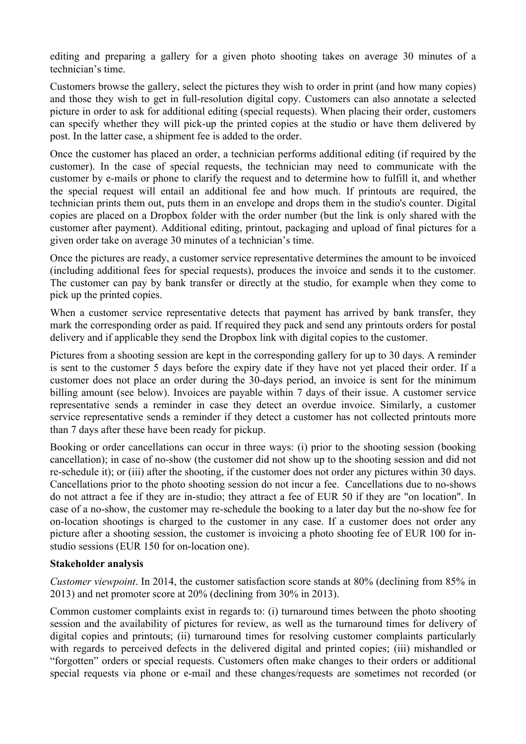editing and preparing a gallery for a given photo shooting takes on average 30 minutes of a technician's time.

Customers browse the gallery, select the pictures they wish to order in print (and how many copies) and those they wish to get in full-resolution digital copy. Customers can also annotate a selected picture in order to ask for additional editing (special requests). When placing their order, customers can specify whether they will pick-up the printed copies at the studio or have them delivered by post. In the latter case, a shipment fee is added to the order.

Once the customer has placed an order, a technician performs additional editing (if required by the customer). In the case of special requests, the technician may need to communicate with the customer by e-mails or phone to clarify the request and to determine how to fulfill it, and whether the special request will entail an additional fee and how much. If printouts are required, the technician prints them out, puts them in an envelope and drops them in the studio's counter. Digital copies are placed on a Dropbox folder with the order number (but the link is only shared with the customer after payment). Additional editing, printout, packaging and upload of final pictures for a given order take on average 30 minutes of a technician's time.

Once the pictures are ready, a customer service representative determines the amount to be invoiced (including additional fees for special requests), produces the invoice and sends it to the customer. The customer can pay by bank transfer or directly at the studio, for example when they come to pick up the printed copies.

When a customer service representative detects that payment has arrived by bank transfer, they mark the corresponding order as paid. If required they pack and send any printouts orders for postal delivery and if applicable they send the Dropbox link with digital copies to the customer.

Pictures from a shooting session are kept in the corresponding gallery for up to 30 days. A reminder is sent to the customer 5 days before the expiry date if they have not yet placed their order. If a customer does not place an order during the 30-days period, an invoice is sent for the minimum billing amount (see below). Invoices are payable within 7 days of their issue. A customer service representative sends a reminder in case they detect an overdue invoice. Similarly, a customer service representative sends a reminder if they detect a customer has not collected printouts more than 7 days after these have been ready for pickup.

Booking or order cancellations can occur in three ways: (i) prior to the shooting session (booking cancellation); in case of no-show (the customer did not show up to the shooting session and did not re-schedule it); or (iii) after the shooting, if the customer does not order any pictures within 30 days. Cancellations prior to the photo shooting session do not incur a fee. Cancellations due to no-shows do not attract a fee if they are in-studio; they attract a fee of EUR 50 if they are "on location". In case of a no-show, the customer may re-schedule the booking to a later day but the no-show fee for on-location shootings is charged to the customer in any case. If a customer does not order any picture after a shooting session, the customer is invoicing a photo shooting fee of EUR 100 for instudio sessions (EUR 150 for on-location one).

#### **Stakeholder analysis**

*Customer viewpoint*. In 2014, the customer satisfaction score stands at 80% (declining from 85% in 2013) and net promoter score at 20% (declining from 30% in 2013).

Common customer complaints exist in regards to: (i) turnaround times between the photo shooting session and the availability of pictures for review, as well as the turnaround times for delivery of digital copies and printouts; (ii) turnaround times for resolving customer complaints particularly with regards to perceived defects in the delivered digital and printed copies; (iii) mishandled or "forgotten" orders or special requests. Customers often make changes to their orders or additional special requests via phone or e-mail and these changes/requests are sometimes not recorded (or